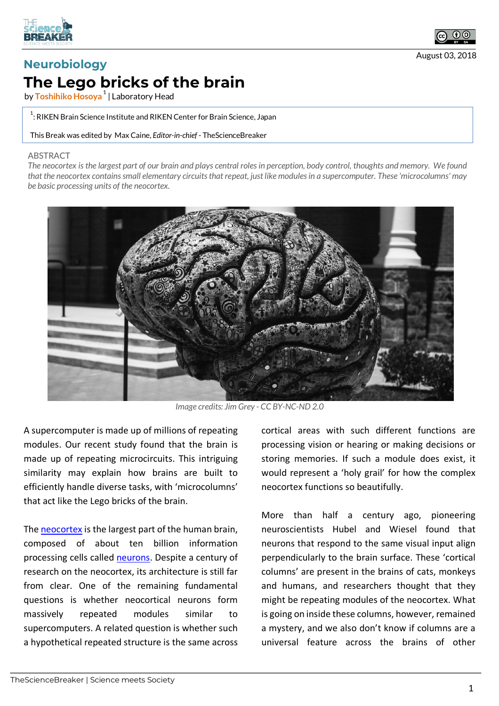



August 03, 2018

## **Neurobiology The Lego bricks of the brain**

by **Toshihiko Hosoya <sup>1</sup>** | Laboratory Head

 $^{\rm 1}$ : RIKEN Brain Science Institute and RIKEN Center for Brain Science, Japan

This Break was edited by Max Caine, *Editor-in-chief* - TheScienceBreaker

## ABSTRACT

*The neocortex is the largest part of our brain and plays central roles in perception, body control, thoughts and memory. We found*  that the neocortex contains small elementary circuits that repeat, just like modules in a supercomputer. These 'microcolumns' may *be basic processing units of the neocortex.*



*Image credits: Jim Grey - CC BY-NC-ND 2.0*

A supercomputer is made up of millions of repeating modules. Our recent study found that the brain is made up of repeating microcircuits. This intriguing similarity may explain how brains are built to efficiently handle diverse tasks, with 'microcolumns' that act like the Lego bricks of the brain.

The neocortex is the largest part of the human brain. composed of about ten billion information processing cells called neurons. Despite a century of research on the neocortex, its architecture is still far from clear. One of the remaining fundamental questions is whether neocortical neurons form massively repeated modules similar to supercomputers. A related question is whether such a hypothetical repeated structure is the same across

cortical areas with such different functions are processing vision or hearing or making decisions or storing memories. If such a module does exist, it would represent a 'holy grail' for how the complex neocortex functions so beautifully.

More than half a century ago, pioneering neuroscientists Hubel and Wiesel found that neurons that respond to the same visual input align perpendicularly to the brain surface. These 'cortical columns' are present in the brains of cats, monkeys and humans, and researchers thought that they might be repeating modules of the neocortex. What is going on inside these columns, however, remained a mystery, and we also don't know if columns are a universal feature across the brains of other